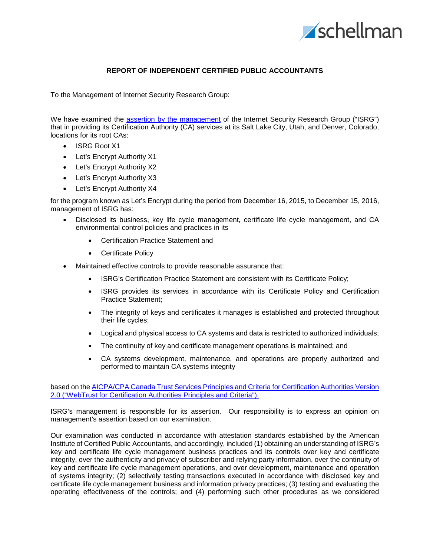

### **REPORT OF INDEPENDENT CERTIFIED PUBLIC ACCOUNTANTS**

To the Management of Internet Security Research Group:

We have examined the assertion by the [management](#page-2-0) of the Internet Security Research Group ("ISRG") that in providing its Certification Authority (CA) services at its Salt Lake City, Utah, and Denver, Colorado, locations for its root CAs:

- ISRG Root X1
- Let's Encrypt Authority X1
- Let's Encrypt Authority X2
- Let's Encrypt Authority X3
- Let's Encrypt Authority X4

for the program known as Let's Encrypt during the period from December 16, 2015, to December 15, 2016, management of ISRG has:

- Disclosed its business, key life cycle management, certificate life cycle management, and CA environmental control policies and practices in its
	- Certification Practice Statement and
	- Certificate Policy
- Maintained effective controls to provide reasonable assurance that:
	- ISRG's Certification Practice Statement are consistent with its Certificate Policy;
	- ISRG provides its services in accordance with its Certificate Policy and Certification Practice Statement;
	- The integrity of keys and certificates it manages is established and protected throughout their life cycles;
	- Logical and physical access to CA systems and data is restricted to authorized individuals;
	- The continuity of key and certificate management operations is maintained; and
	- CA systems development, maintenance, and operations are properly authorized and performed to maintain CA systems integrity

based on the AICPA/CPA Canada Trust Services Principles and [Criteria for Certification Authorities Version](http://www.webtrust.org/homepage-documents/item54279.pdf)  [2.0 \("WebTrust for Certification Authorities Principles and Criteria"\).](http://www.webtrust.org/homepage-documents/item54279.pdf)

ISRG's management is responsible for its assertion. Our responsibility is to express an opinion on management's assertion based on our examination.

Our examination was conducted in accordance with attestation standards established by the American Institute of Certified Public Accountants, and accordingly, included (1) obtaining an understanding of ISRG's key and certificate life cycle management business practices and its controls over key and certificate integrity, over the authenticity and privacy of subscriber and relying party information, over the continuity of key and certificate life cycle management operations, and over development, maintenance and operation of systems integrity; (2) selectively testing transactions executed in accordance with disclosed key and certificate life cycle management business and information privacy practices; (3) testing and evaluating the operating effectiveness of the controls; and (4) performing such other procedures as we considered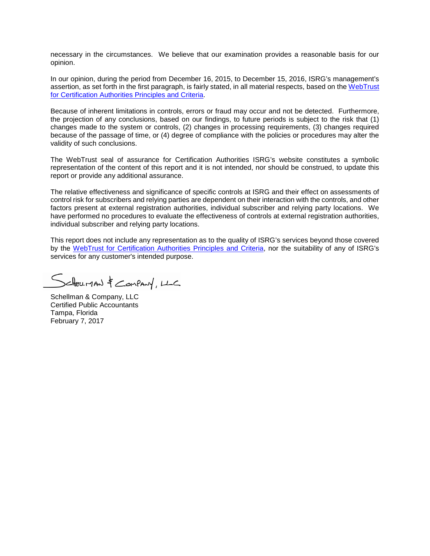necessary in the circumstances. We believe that our examination provides a reasonable basis for our opinion.

In our opinion, during the period from December 16, 2015, to December 15, 2016, ISRG's management's assertion, as set forth in the first paragraph, is fairly stated, in all material respects, based on the [WebTrust](http://www.webtrust.org/homepage-documents/item54279.pdf)  [for Certification Authorities Principles and Criteria.](http://www.webtrust.org/homepage-documents/item54279.pdf)

Because of inherent limitations in controls, errors or fraud may occur and not be detected. Furthermore, the projection of any conclusions, based on our findings, to future periods is subject to the risk that (1) changes made to the system or controls, (2) changes in processing requirements, (3) changes required because of the passage of time, or (4) degree of compliance with the policies or procedures may alter the validity of such conclusions.

The WebTrust seal of assurance for Certification Authorities ISRG's website constitutes a symbolic representation of the content of this report and it is not intended, nor should be construed, to update this report or provide any additional assurance.

The relative effectiveness and significance of specific controls at ISRG and their effect on assessments of control risk for subscribers and relying parties are dependent on their interaction with the controls, and other factors present at external registration authorities, individual subscriber and relying party locations. We have performed no procedures to evaluate the effectiveness of controls at external registration authorities, individual subscriber and relying party locations.

This report does not include any representation as to the quality of ISRG's services beyond those covered by the [WebTrust for Certification Authorities Principles and Criteria,](http://www.webtrust.org/homepage-documents/item54279.pdf) nor the suitability of any of ISRG's services for any customer's intended purpose.

SEHELLMAN & COMPANY, LLC

Schellman & Company, LLC Certified Public Accountants Tampa, Florida February 7, 2017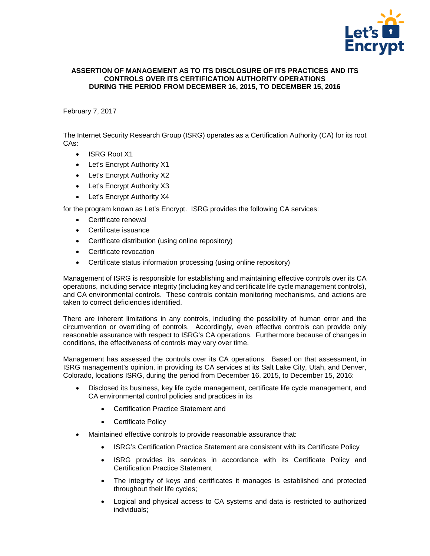

### <span id="page-2-0"></span>**ASSERTION OF MANAGEMENT AS TO ITS DISCLOSURE OF ITS PRACTICES AND ITS CONTROLS OVER ITS CERTIFICATION AUTHORITY OPERATIONS DURING THE PERIOD FROM DECEMBER 16, 2015, TO DECEMBER 15, 2016**

# February 7, 2017

The Internet Security Research Group (ISRG) operates as a Certification Authority (CA) for its root CAs:

- ISRG Root X1
- Let's Encrypt Authority X1
- Let's Encrypt Authority X2
- Let's Encrypt Authority X3
- Let's Encrypt Authority X4

for the program known as Let's Encrypt. ISRG provides the following CA services:

- Certificate renewal
- Certificate issuance
- Certificate distribution (using online repository)
- Certificate revocation
- Certificate status information processing (using online repository)

Management of ISRG is responsible for establishing and maintaining effective controls over its CA operations, including service integrity (including key and certificate life cycle management controls), and CA environmental controls. These controls contain monitoring mechanisms, and actions are taken to correct deficiencies identified.

There are inherent limitations in any controls, including the possibility of human error and the circumvention or overriding of controls. Accordingly, even effective controls can provide only reasonable assurance with respect to ISRG's CA operations. Furthermore because of changes in conditions, the effectiveness of controls may vary over time.

Management has assessed the controls over its CA operations. Based on that assessment, in ISRG management's opinion, in providing its CA services at its Salt Lake City, Utah, and Denver, Colorado, locations ISRG, during the period from December 16, 2015, to December 15, 2016:

- Disclosed its business, key life cycle management, certificate life cycle management, and CA environmental control policies and practices in its
	- Certification Practice Statement and
	- Certificate Policy
- Maintained effective controls to provide reasonable assurance that:
	- ISRG's Certification Practice Statement are consistent with its Certificate Policy
	- ISRG provides its services in accordance with its Certificate Policy and Certification Practice Statement
	- The integrity of keys and certificates it manages is established and protected throughout their life cycles;
	- Logical and physical access to CA systems and data is restricted to authorized individuals;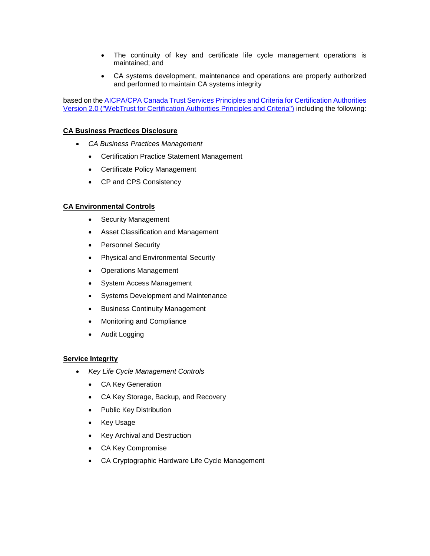- The continuity of key and certificate life cycle management operations is maintained; and
- CA systems development, maintenance and operations are properly authorized and performed to maintain CA systems integrity

based on the **AICPA/CPA Canada Trust Services Principles and Criteria for Certification Authorities** [Version 2.0 \("WebTrust for Certification Authorities Principles and Criteria"\)](http://www.webtrust.org/homepage-documents/item54279.pdf) including the following:

## **CA Business Practices Disclosure**

- *CA Business Practices Management*
	- Certification Practice Statement Management
	- Certificate Policy Management
	- CP and CPS Consistency

### **CA Environmental Controls**

- Security Management
- Asset Classification and Management
- Personnel Security
- Physical and Environmental Security
- Operations Management
- System Access Management
- Systems Development and Maintenance
- Business Continuity Management
- Monitoring and Compliance
- Audit Logging

### **Service Integrity**

- *Key Life Cycle Management Controls*
	- CA Key Generation
	- CA Key Storage, Backup, and Recovery
	- Public Key Distribution
	- Key Usage
	- Key Archival and Destruction
	- CA Key Compromise
	- CA Cryptographic Hardware Life Cycle Management